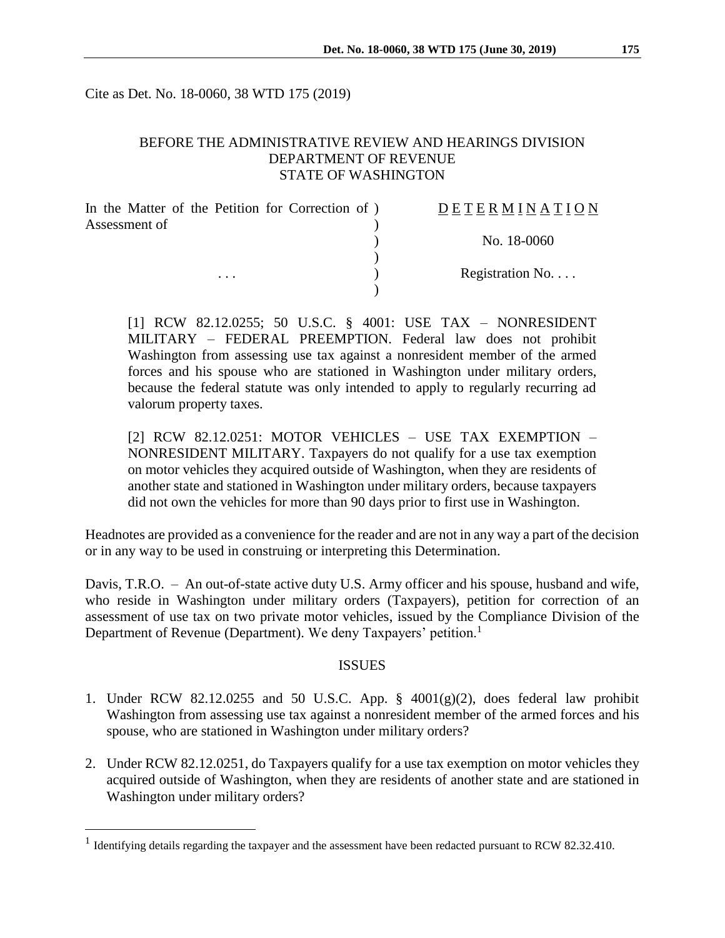Cite as Det. No. 18-0060, 38 WTD 175 (2019)

### BEFORE THE ADMINISTRATIVE REVIEW AND HEARINGS DIVISION DEPARTMENT OF REVENUE STATE OF WASHINGTON

| In the Matter of the Petition for Correction of) | DETERMINATION   |
|--------------------------------------------------|-----------------|
| Assessment of                                    |                 |
|                                                  | No. 18-0060     |
|                                                  |                 |
| $\cdots$                                         | Registration No |
|                                                  |                 |

[1] RCW 82.12.0255; 50 U.S.C. § 4001: USE TAX – NONRESIDENT MILITARY – FEDERAL PREEMPTION. Federal law does not prohibit Washington from assessing use tax against a nonresident member of the armed forces and his spouse who are stationed in Washington under military orders, because the federal statute was only intended to apply to regularly recurring ad valorum property taxes.

[2] RCW 82.12.0251: MOTOR VEHICLES – USE TAX EXEMPTION – NONRESIDENT MILITARY. Taxpayers do not qualify for a use tax exemption on motor vehicles they acquired outside of Washington, when they are residents of another state and stationed in Washington under military orders, because taxpayers did not own the vehicles for more than 90 days prior to first use in Washington.

Headnotes are provided as a convenience for the reader and are not in any way a part of the decision or in any way to be used in construing or interpreting this Determination.

Davis, T.R.O. – An out-of-state active duty U.S. Army officer and his spouse, husband and wife, who reside in Washington under military orders (Taxpayers), petition for correction of an assessment of use tax on two private motor vehicles, issued by the Compliance Division of the Department of Revenue (Department). We deny Taxpayers' petition.<sup>1</sup>

#### ISSUES

- 1. Under RCW 82.12.0255 and 50 U.S.C. App.  $\S$  4001(g)(2), does federal law prohibit Washington from assessing use tax against a nonresident member of the armed forces and his spouse, who are stationed in Washington under military orders?
- 2. Under RCW 82.12.0251, do Taxpayers qualify for a use tax exemption on motor vehicles they acquired outside of Washington, when they are residents of another state and are stationed in Washington under military orders?

 $\overline{a}$ 

<sup>&</sup>lt;sup>1</sup> Identifying details regarding the taxpayer and the assessment have been redacted pursuant to RCW 82.32.410.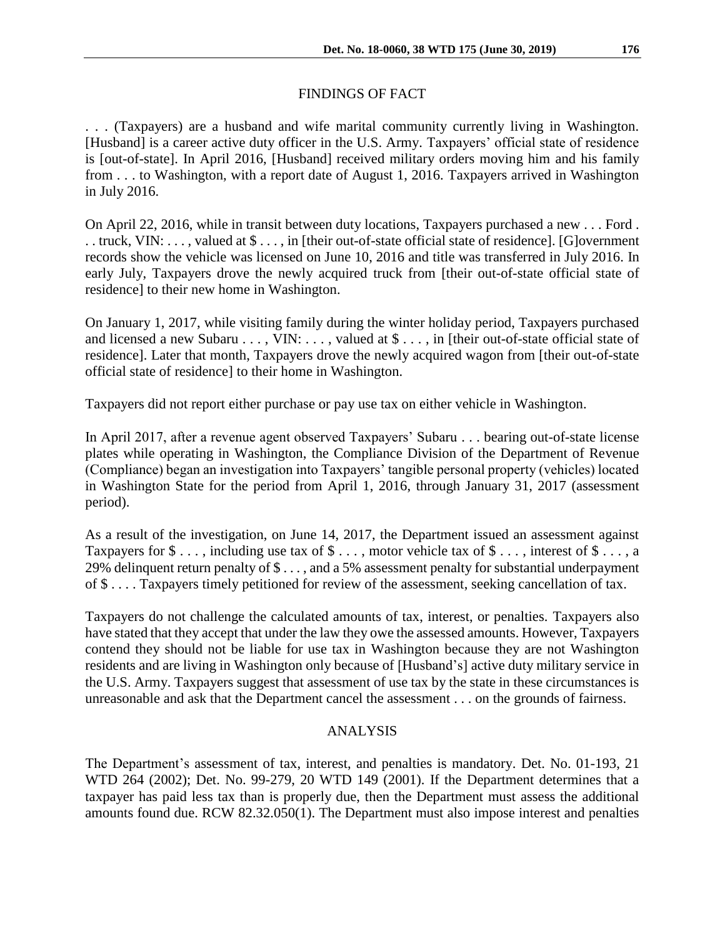# FINDINGS OF FACT

. . . (Taxpayers) are a husband and wife marital community currently living in Washington. [Husband] is a career active duty officer in the U.S. Army. Taxpayers' official state of residence is [out-of-state]. In April 2016, [Husband] received military orders moving him and his family from . . . to Washington, with a report date of August 1, 2016. Taxpayers arrived in Washington in July 2016.

On April 22, 2016, while in transit between duty locations, Taxpayers purchased a new . . . Ford . . . truck, VIN: . . . , valued at \$ . . . , in [their out-of-state official state of residence]. [G]overnment records show the vehicle was licensed on June 10, 2016 and title was transferred in July 2016. In early July, Taxpayers drove the newly acquired truck from [their out-of-state official state of residence] to their new home in Washington.

On January 1, 2017, while visiting family during the winter holiday period, Taxpayers purchased and licensed a new Subaru . . . , VIN: . . . , valued at  $\$\ldots$ , in [their out-of-state official state of residence]. Later that month, Taxpayers drove the newly acquired wagon from [their out-of-state official state of residence] to their home in Washington.

Taxpayers did not report either purchase or pay use tax on either vehicle in Washington.

In April 2017, after a revenue agent observed Taxpayers' Subaru . . . bearing out-of-state license plates while operating in Washington, the Compliance Division of the Department of Revenue (Compliance) began an investigation into Taxpayers' tangible personal property (vehicles) located in Washington State for the period from April 1, 2016, through January 31, 2017 (assessment period).

As a result of the investigation, on June 14, 2017, the Department issued an assessment against Taxpayers for  $\$\ldots$ , including use tax of  $\$\ldots$ , motor vehicle tax of  $\$\ldots$ , interest of  $\$\ldots$ , a 29% delinquent return penalty of \$ . . . , and a 5% assessment penalty for substantial underpayment of \$ . . . . Taxpayers timely petitioned for review of the assessment, seeking cancellation of tax.

Taxpayers do not challenge the calculated amounts of tax, interest, or penalties. Taxpayers also have stated that they accept that under the law they owe the assessed amounts. However, Taxpayers contend they should not be liable for use tax in Washington because they are not Washington residents and are living in Washington only because of [Husband's] active duty military service in the U.S. Army. Taxpayers suggest that assessment of use tax by the state in these circumstances is unreasonable and ask that the Department cancel the assessment . . . on the grounds of fairness.

#### ANALYSIS

The Department's assessment of tax, interest, and penalties is mandatory. Det. No. 01-193, 21 WTD 264 (2002); Det. No. 99-279, 20 WTD 149 (2001). If the Department determines that a taxpayer has paid less tax than is properly due, then the Department must assess the additional amounts found due. RCW 82.32.050(1). The Department must also impose interest and penalties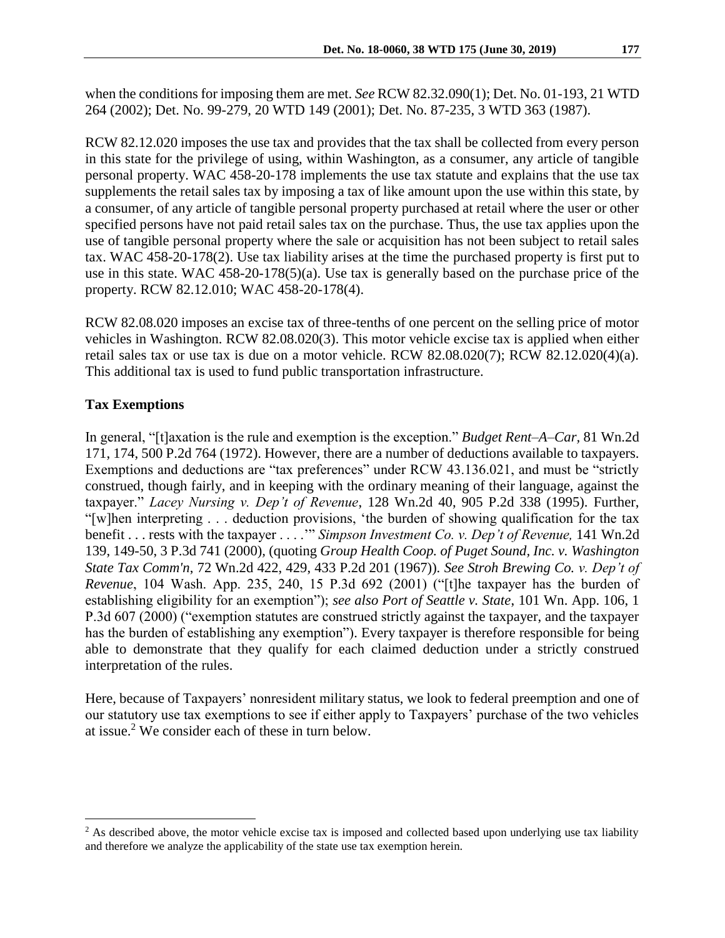when the conditions for imposing them are met. *See* RCW 82.32.090(1); Det. No. 01-193, 21 WTD 264 (2002); Det. No. 99-279, 20 WTD 149 (2001); Det. No. 87-235, 3 WTD 363 (1987).

RCW 82.12.020 imposes the use tax and provides that the tax shall be collected from every person in this state for the privilege of using, within Washington, as a consumer, any article of tangible personal property. WAC 458-20-178 implements the use tax statute and explains that the use tax supplements the retail sales tax by imposing a tax of like amount upon the use within this state, by a consumer, of any article of tangible personal property purchased at retail where the user or other specified persons have not paid retail sales tax on the purchase. Thus, the use tax applies upon the use of tangible personal property where the sale or acquisition has not been subject to retail sales tax. WAC 458-20-178(2). Use tax liability arises at the time the purchased property is first put to use in this state. WAC 458-20-178(5)(a). Use tax is generally based on the purchase price of the property. RCW 82.12.010; WAC 458-20-178(4).

RCW 82.08.020 imposes an excise tax of three-tenths of one percent on the selling price of motor vehicles in Washington. RCW 82.08.020(3). This motor vehicle excise tax is applied when either retail sales tax or use tax is due on a motor vehicle. RCW 82.08.020(7); RCW 82.12.020(4)(a). This additional tax is used to fund public transportation infrastructure.

# **Tax Exemptions**

 $\overline{a}$ 

In general, "[t]axation is the rule and exemption is the exception." *[Budget Rent–A–Car,](https://1.next.westlaw.com/Link/Document/FullText?findType=Y&serNum=1972125431&pubNum=661&originatingDoc=I8c3102ebf53e11d98ac8f235252e36df&refType=RP&originationContext=document&transitionType=DocumentItem&contextData=(sc.Search))* 81 Wn.2d [171, 174, 500 P.2d 764 \(1972\).](https://1.next.westlaw.com/Link/Document/FullText?findType=Y&serNum=1972125431&pubNum=661&originatingDoc=I8c3102ebf53e11d98ac8f235252e36df&refType=RP&originationContext=document&transitionType=DocumentItem&contextData=(sc.Search)) However, there are a number of deductions available to taxpayers. Exemptions and deductions are "tax preferences" under RCW 43.136.021, and must be "strictly construed, though fairly, and in keeping with the ordinary meaning of their language, against the taxpayer." *Lacey Nursing v. Dep't of Revenue*, 128 Wn.2d 40, 905 P.2d 338 (1995). Further, "[w]hen interpreting . . . deduction provisions, 'the burden of showing qualification for the tax benefit . . . rests with the taxpayer . . . .'" *Simpson Investment Co. v. Dep't of Revenue,* 141 Wn.2d 139, 149-50, 3 P.3d 741 (2000)*,* (quoting *Group Health Coop. of Puget Sound, Inc. v. Washington State Tax Comm'n*, 72 Wn.2d 422, 429, 433 P.2d 201 (1967)). *See Stroh Brewing Co. v. Dep't of Revenue*, 104 Wash. App. 235, 240, 15 P.3d 692 (2001) ("[t]he taxpayer has the burden of establishing eligibility for an exemption"); *see also Port of Seattle v. State*, 101 Wn. App. 106, 1 P.3d 607 (2000) ("exemption statutes are construed strictly against the taxpayer, and the taxpayer has the burden of establishing any exemption"). Every taxpayer is therefore responsible for being able to demonstrate that they qualify for each claimed deduction under a strictly construed interpretation of the rules.

Here, because of Taxpayers' nonresident military status, we look to federal preemption and one of our statutory use tax exemptions to see if either apply to Taxpayers' purchase of the two vehicles at issue.<sup>2</sup> We consider each of these in turn below.

<sup>&</sup>lt;sup>2</sup> As described above, the motor vehicle excise tax is imposed and collected based upon underlying use tax liability and therefore we analyze the applicability of the state use tax exemption herein.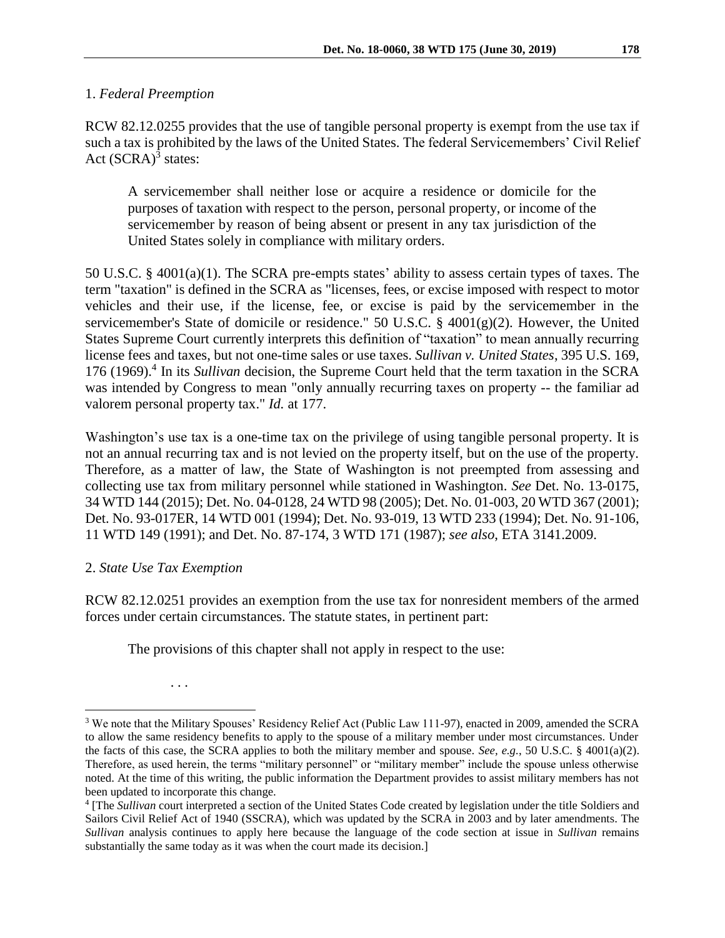RCW 82.12.0255 provides that the use of tangible personal property is exempt from the use tax if such a tax is prohibited by the laws of the United States. The federal Servicemembers' Civil Relief Act  $(SCRA)^3$  states:

A servicemember shall neither lose or acquire a residence or domicile for the purposes of taxation with respect to the person, personal property, or income of the servicemember by reason of being absent or present in any tax jurisdiction of the United States solely in compliance with military orders.

50 U.S.C. § 4001(a)(1). The SCRA pre-empts states' ability to assess certain types of taxes. The term "taxation" is defined in the SCRA as "licenses, fees, or excise imposed with respect to motor vehicles and their use, if the license, fee, or excise is paid by the servicemember in the servicemember's State of domicile or residence." 50 U.S.C. § 4001(g)(2). However, the United States Supreme Court currently interprets this definition of "taxation" to mean annually recurring license fees and taxes, but not one-time sales or use taxes. *Sullivan v. United States*, 395 U.S. 169, 176 (1969). 4 In its *Sullivan* decision, the Supreme Court held that the term taxation in the SCRA was intended by Congress to mean "only annually recurring taxes on property -- the familiar ad valorem personal property tax." *Id.* at 177.

Washington's use tax is a one-time tax on the privilege of using tangible personal property. It is not an annual recurring tax and is not levied on the property itself, but on the use of the property. Therefore, as a matter of law, the State of Washington is not preempted from assessing and collecting use tax from military personnel while stationed in Washington. *See* Det. No. 13-0175, 34 WTD 144 (2015); Det. No. 04-0128, 24 WTD 98 (2005); Det. No. 01-003, 20 WTD 367 (2001); Det. No. 93-017ER, 14 WTD 001 (1994); Det. No. 93-019, 13 WTD 233 (1994); Det. No. 91-106, 11 WTD 149 (1991); and Det. No. 87-174, 3 WTD 171 (1987); *see also*, ETA 3141.2009.

## 2. *State Use Tax Exemption*

RCW 82.12.0251 provides an exemption from the use tax for nonresident members of the armed forces under certain circumstances. The statute states, in pertinent part:

The provisions of this chapter shall not apply in respect to the use:

. . .

 $\overline{a}$ 

<sup>3</sup> We note that the Military Spouses' Residency Relief Act (Public Law 111-97), enacted in 2009, amended the SCRA to allow the same residency benefits to apply to the spouse of a military member under most circumstances. Under the facts of this case, the SCRA applies to both the military member and spouse. *See, e.g.*, 50 U.S.C. § 4001(a)(2). Therefore, as used herein, the terms "military personnel" or "military member" include the spouse unless otherwise noted. At the time of this writing, the public information the Department provides to assist military members has not been updated to incorporate this change.

<sup>&</sup>lt;sup>4</sup> [The *Sullivan* court interpreted a section of the United States Code created by legislation under the title Soldiers and Sailors Civil Relief Act of 1940 (SSCRA), which was updated by the SCRA in 2003 and by later amendments. The *Sullivan* analysis continues to apply here because the language of the code section at issue in *Sullivan* remains substantially the same today as it was when the court made its decision.]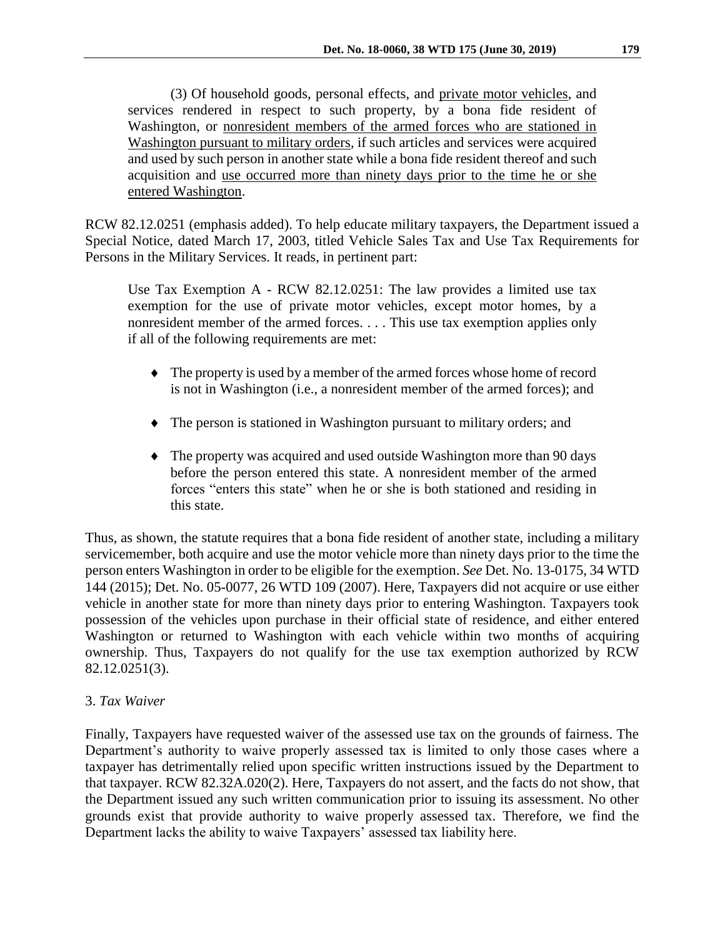(3) Of household goods, personal effects, and private motor vehicles, and services rendered in respect to such property, by a bona fide resident of Washington, or nonresident members of the armed forces who are stationed in Washington pursuant to military orders, if such articles and services were acquired and used by such person in another state while a bona fide resident thereof and such acquisition and use occurred more than ninety days prior to the time he or she entered Washington.

RCW 82.12.0251 (emphasis added). To help educate military taxpayers, the Department issued a Special Notice, dated March 17, 2003, titled Vehicle Sales Tax and Use Tax Requirements for Persons in the Military Services. It reads, in pertinent part:

Use Tax Exemption A - RCW 82.12.0251: The law provides a limited use tax exemption for the use of private motor vehicles, except motor homes, by a nonresident member of the armed forces. . . . This use tax exemption applies only if all of the following requirements are met:

- The property is used by a member of the armed forces whose home of record is not in Washington (i.e., a nonresident member of the armed forces); and
- The person is stationed in Washington pursuant to military orders; and
- The property was acquired and used outside Washington more than 90 days before the person entered this state. A nonresident member of the armed forces "enters this state" when he or she is both stationed and residing in this state.

Thus, as shown, the statute requires that a bona fide resident of another state, including a military servicemember, both acquire and use the motor vehicle more than ninety days prior to the time the person enters Washington in order to be eligible for the exemption. *See* Det. No. 13-0175, 34 WTD 144 (2015); Det. No. 05-0077, 26 WTD 109 (2007). Here, Taxpayers did not acquire or use either vehicle in another state for more than ninety days prior to entering Washington. Taxpayers took possession of the vehicles upon purchase in their official state of residence, and either entered Washington or returned to Washington with each vehicle within two months of acquiring ownership. Thus, Taxpayers do not qualify for the use tax exemption authorized by RCW 82.12.0251(3).

#### 3. *Tax Waiver*

Finally, Taxpayers have requested waiver of the assessed use tax on the grounds of fairness. The Department's authority to waive properly assessed tax is limited to only those cases where a taxpayer has detrimentally relied upon specific written instructions issued by the Department to that taxpayer. RCW 82.32A.020(2). Here, Taxpayers do not assert, and the facts do not show, that the Department issued any such written communication prior to issuing its assessment. No other grounds exist that provide authority to waive properly assessed tax. Therefore, we find the Department lacks the ability to waive Taxpayers' assessed tax liability here.